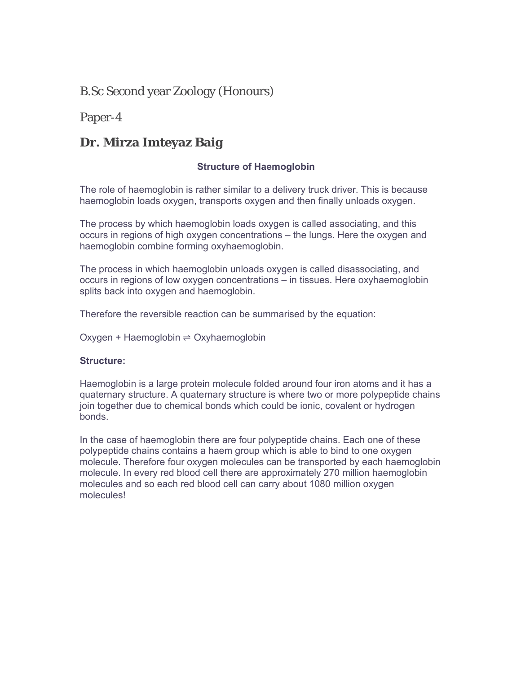## B.Sc Second year Zoology (Honours)

Paper-4

## **Dr. Mirza Imteyaz Baig**

#### **Structure of Haemoglobin**

The role of haemoglobin is rather similar to a delivery truck driver. This is because haemoglobin loads oxygen, transports oxygen and then finally unloads oxygen.

The process by which haemoglobin loads oxygen is called associating, and this occurs in regions of high oxygen concentrations – the lungs. Here the oxygen and haemoglobin combine forming oxyhaemoglobin.

The process in which haemoglobin unloads oxygen is called disassociating, and occurs in regions of low oxygen concentrations – in tissues. Here oxyhaemoglobin splits back into oxygen and haemoglobin.

Therefore the reversible reaction can be summarised by the equation:

Oxygen + Haemoglobin ⇌ Oxyhaemoglobin

#### **Structure:**

Haemoglobin is a large protein molecule folded around four iron atoms and it has a quaternary structure. A quaternary structure is where two or more polypeptide chains join together due to chemical bonds which could be ionic, covalent or hydrogen bonds.

In the case of haemoglobin there are four polypeptide chains. Each one of these polypeptide chains contains a haem group which is able to bind to one oxygen molecule. Therefore four oxygen molecules can be transported by each haemoglobin molecule. In every red blood cell there are approximately 270 million haemoglobin molecules and so each red blood cell can carry about 1080 million oxygen molecules!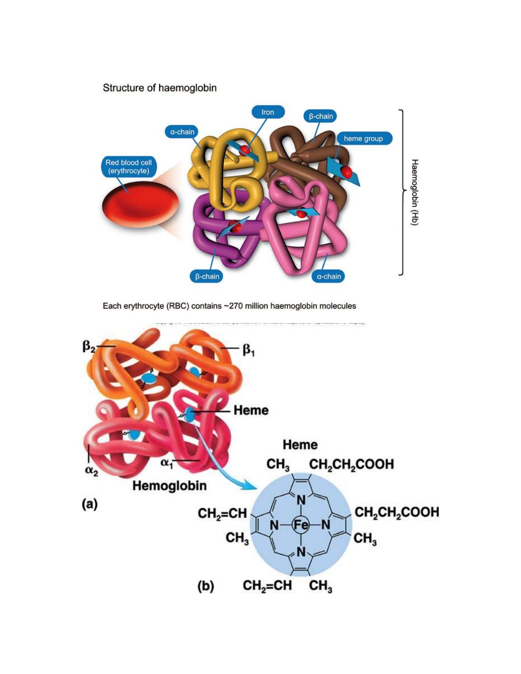# Structure of haemoglobin Iron  $\beta$ -chain  $\alpha$ -chain heme group Red blood cell<br>(erythrocyte) Haemoglobin (Hb)  $\beta$ -chain  $\alpha$ -chain

Each erythrocyte (RBC) contains ~270 million haemoglobin molecules